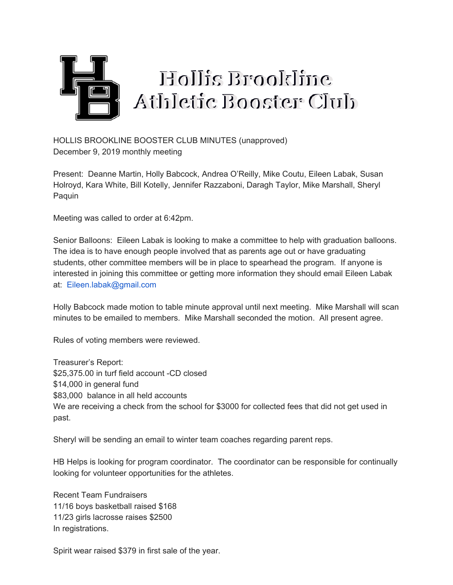

HOLLIS BROOKLINE BOOSTER CLUB MINUTES (unapproved) December 9, 2019 monthly meeting

Present: Deanne Martin, Holly Babcock, Andrea O'Reilly, Mike Coutu, Eileen Labak, Susan Holroyd, Kara White, Bill Kotelly, Jennifer Razzaboni, Daragh Taylor, Mike Marshall, Sheryl Paquin

Meeting was called to order at 6:42pm.

Senior Balloons: Eileen Labak is looking to make a committee to help with graduation balloons. The idea is to have enough people involved that as parents age out or have graduating students, other committee members will be in place to spearhead the program. If anyone is interested in joining this committee or getting more information they should email Eileen Labak at: Eileen.labak@gmail.com

Holly Babcock made motion to table minute approval until next meeting. Mike Marshall will scan minutes to be emailed to members. Mike Marshall seconded the motion. All present agree.

Rules of voting members were reviewed.

Treasurer's Report: \$25,375.00 in turf field account -CD closed \$14,000 in general fund \$83,000 balance in all held accounts We are receiving a check from the school for \$3000 for collected fees that did not get used in past.

Sheryl will be sending an email to winter team coaches regarding parent reps.

HB Helps is looking for program coordinator. The coordinator can be responsible for continually looking for volunteer opportunities for the athletes.

Recent Team Fundraisers 11/16 boys basketball raised \$168 11/23 girls lacrosse raises \$2500 In registrations.

Spirit wear raised \$379 in first sale of the year.